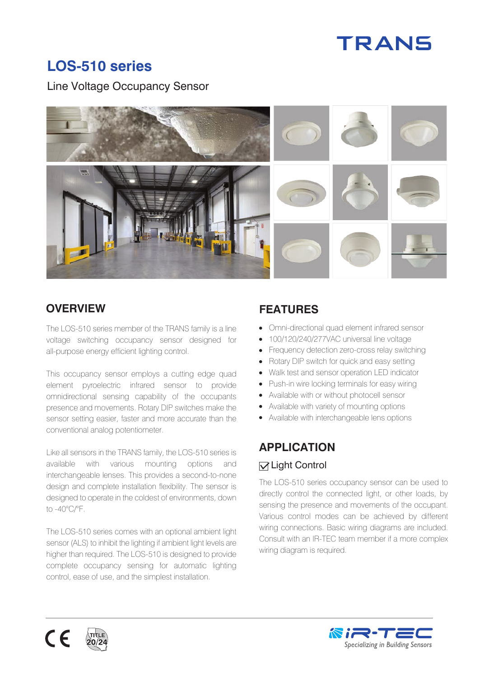# **TRANS**

# **LOS-510 series**

Line Voltage Occupancy Sensor



The LOS-510 series member of the TRANS family is a line voltage switching occupancy sensor designed for all-purpose energy efficient lighting control.

This occupancy sensor employs a cutting edge quad element pyroelectric infrared sensor to provide omnidirectional sensing capability of the occupants presence and movements. Rotary DIP switches make the sensor setting easier, faster and more accurate than the conventional analog potentiometer.

Like all sensors in the TRANS family, the LOS-510 series is available with various mounting options and interchangeable lenses. This provides a second-to-none design and complete installation flexibility. The sensor is designed to operate in the coldest of environments, down to -40°C/°F.

The LOS-510 series comes with an optional ambient light sensor (ALS) to inhibit the lighting if ambient light levels are higher than required. The LOS-510 is designed to provide complete occupancy sensing for automatic lighting control, ease of use, and the simplest installation.

# **OVERVIEW FEATURES**

- Omni-directional quad element infrared sensor
- 100/120/240/277VAC universal line voltage
- Frequency detection zero-cross relay switching
- Rotary DIP switch for quick and easy setting
- Walk test and sensor operation LED indicator
- Push-in wire locking terminals for easy wiring
- Available with or without photocell sensor
- Available with variety of mounting options
- Available with interchangeable lens options

# **APPLICATION**

#### $⊓$  **Light Control**

The LOS-510 series occupancy sensor can be used to directly control the connected light, or other loads, by sensing the presence and movements of the occupant. Various control modes can be achieved by different wiring connections. Basic wiring diagrams are included. Consult with an IR-TEC team member if a more complex wiring diagram is required.